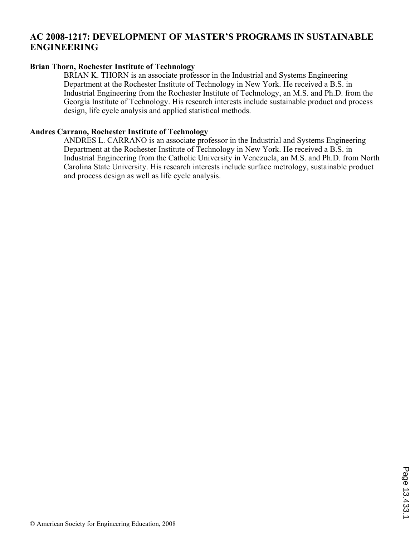# **AC 2008-1217: DEVELOPMENT OF MASTER'S PROGRAMS IN SUSTAINABLE ENGINEERING**

## **Brian Thorn, Rochester Institute of Technology**

BRIAN K. THORN is an associate professor in the Industrial and Systems Engineering Department at the Rochester Institute of Technology in New York. He received a B.S. in Industrial Engineering from the Rochester Institute of Technology, an M.S. and Ph.D. from the Georgia Institute of Technology. His research interests include sustainable product and process design, life cycle analysis and applied statistical methods.

## **Andres Carrano, Rochester Institute of Technology**

ANDRES L. CARRANO is an associate professor in the Industrial and Systems Engineering Department at the Rochester Institute of Technology in New York. He received a B.S. in Industrial Engineering from the Catholic University in Venezuela, an M.S. and Ph.D. from North Carolina State University. His research interests include surface metrology, sustainable product and process design as well as life cycle analysis.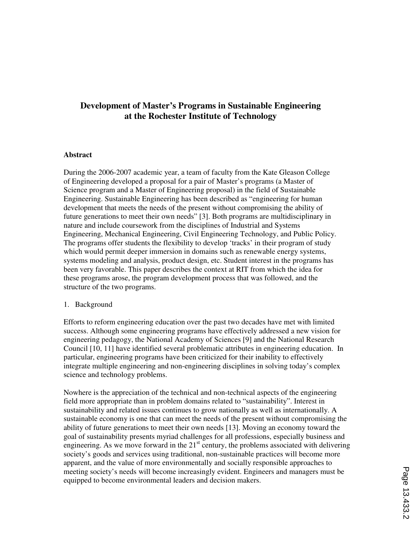# **Development of Master's Programs in Sustainable Engineering at the Rochester Institute of Technology**

#### **Abstract**

During the 2006-2007 academic year, a team of faculty from the Kate Gleason College of Engineering developed a proposal for a pair of Master's programs (a Master of Science program and a Master of Engineering proposal) in the field of Sustainable Engineering. Sustainable Engineering has been described as "engineering for human development that meets the needs of the present without compromising the ability of future generations to meet their own needs" [3]. Both programs are multidisciplinary in nature and include coursework from the disciplines of Industrial and Systems Engineering, Mechanical Engineering, Civil Engineering Technology, and Public Policy. The programs offer students the flexibility to develop 'tracks' in their program of study which would permit deeper immersion in domains such as renewable energy systems, systems modeling and analysis, product design, etc. Student interest in the programs has been very favorable. This paper describes the context at RIT from which the idea for these programs arose, the program development process that was followed, and the structure of the two programs.

#### 1. Background

Efforts to reform engineering education over the past two decades have met with limited success. Although some engineering programs have effectively addressed a new vision for engineering pedagogy, the National Academy of Sciences [9] and the National Research Council [10, 11] have identified several problematic attributes in engineering education. In particular, engineering programs have been criticized for their inability to effectively integrate multiple engineering and non-engineering disciplines in solving today's complex science and technology problems.

Nowhere is the appreciation of the technical and non-technical aspects of the engineering field more appropriate than in problem domains related to "sustainability". Interest in sustainability and related issues continues to grow nationally as well as internationally. A sustainable economy is one that can meet the needs of the present without compromising the ability of future generations to meet their own needs [13]. Moving an economy toward the goal of sustainability presents myriad challenges for all professions, especially business and engineering. As we move forward in the  $21<sup>st</sup>$  century, the problems associated with delivering society's goods and services using traditional, non-sustainable practices will become more apparent, and the value of more environmentally and socially responsible approaches to meeting society's needs will become increasingly evident. Engineers and managers must be equipped to become environmental leaders and decision makers.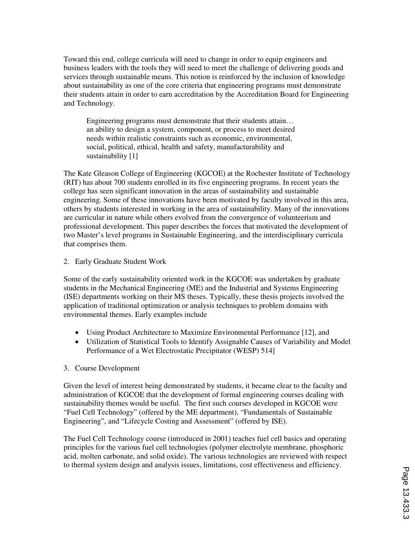Toward this end, college curricula will need to change in order to equip engineers and business leaders with the tools they will need to meet the challenge of delivering goods and services through sustainable means. This notion is reinforced by the inclusion of knowledge about sustainability as one of the core criteria that engineering programs must demonstrate their students attain in order to earn accreditation by the Accreditation Board for Engineering and Technology.

 Engineering programs must demonstrate that their students attain… an ability to design a system, component, or process to meet desired needs within realistic constraints such as economic, environmental, social, political, ethical, health and safety, manufacturability and sustainability [1]

The Kate Gleason College of Engineering (KGCOE) at the Rochester Institute of Technology (RIT) has about 700 students enrolled in its five engineering programs. In recent years the college has seen significant innovation in the areas of sustainability and sustainable engineering. Some of these innovations have been motivated by faculty involved in this area, others by students interested in working in the area of sustainability. Many of the innovations are curricular in nature while others evolved from the convergence of volunteerism and professional development. This paper describes the forces that motivated the development of two Master's level programs in Sustainable Engineering, and the interdisciplinary curricula that comprises them.

### 2. Early Graduate Student Work

Some of the early sustainability oriented work in the KGCOE was undertaken by graduate students in the Mechanical Engineering (ME) and the Industrial and Systems Engineering (ISE) departments working on their MS theses. Typically, these thesis projects involved the application of traditional optimization or analysis techniques to problem domains with environmental themes. Early examples include

- Using Product Architecture to Maximize Environmental Performance [12], and
- Utilization of Statistical Tools to Identify Assignable Causes of Variability and Model Performance of a Wet Electrostatic Precipitator (WESP) 514]

#### 3. Course Development

Given the level of interest being demonstrated by students, it became clear to the faculty and administration of KGCOE that the development of formal engineering courses dealing with sustainability themes would be useful. The first such courses developed in KGCOE were "Fuel Cell Technology" (offered by the ME department), "Fundamentals of Sustainable Engineering", and "Lifecycle Costing and Assessment" (offered by ISE).

The Fuel Cell Technology course (introduced in 2001) teaches fuel cell basics and operating principles for the various fuel cell technologies (polymer electrolyte membrane, phosphoric acid, molten carbonate, and solid oxide). The various technologies are reviewed with respect to thermal system design and analysis issues, limitations, cost effectiveness and efficiency.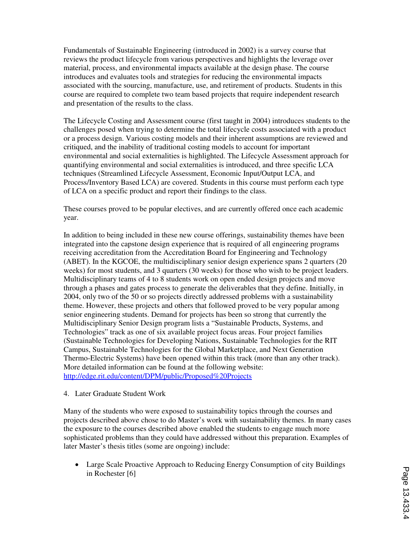Fundamentals of Sustainable Engineering (introduced in 2002) is a survey course that reviews the product lifecycle from various perspectives and highlights the leverage over material, process, and environmental impacts available at the design phase. The course introduces and evaluates tools and strategies for reducing the environmental impacts associated with the sourcing, manufacture, use, and retirement of products. Students in this course are required to complete two team based projects that require independent research and presentation of the results to the class.

The Lifecycle Costing and Assessment course (first taught in 2004) introduces students to the challenges posed when trying to determine the total lifecycle costs associated with a product or a process design. Various costing models and their inherent assumptions are reviewed and critiqued, and the inability of traditional costing models to account for important environmental and social externalities is highlighted. The Lifecycle Assessment approach for quantifying environmental and social externalities is introduced, and three specific LCA techniques (Streamlined Lifecycle Assessment, Economic Input/Output LCA, and Process/Inventory Based LCA) are covered. Students in this course must perform each type of LCA on a specific product and report their findings to the class.

These courses proved to be popular electives, and are currently offered once each academic year.

In addition to being included in these new course offerings, sustainability themes have been integrated into the capstone design experience that is required of all engineering programs receiving accreditation from the Accreditation Board for Engineering and Technology (ABET). In the KGCOE, the multidisciplinary senior design experience spans 2 quarters (20 weeks) for most students, and 3 quarters (30 weeks) for those who wish to be project leaders. Multidisciplinary teams of 4 to 8 students work on open ended design projects and move through a phases and gates process to generate the deliverables that they define. Initially, in 2004, only two of the 50 or so projects directly addressed problems with a sustainability theme. However, these projects and others that followed proved to be very popular among senior engineering students. Demand for projects has been so strong that currently the Multidisciplinary Senior Design program lists a "Sustainable Products, Systems, and Technologies" track as one of six available project focus areas. Four project families (Sustainable Technologies for Developing Nations, Sustainable Technologies for the RIT Campus, Sustainable Technologies for the Global Marketplace, and Next Generation Thermo-Electric Systems) have been opened within this track (more than any other track). More detailed information can be found at the following website: http://edge.rit.edu/content/DPM/public/Proposed%20Projects

#### 4. Later Graduate Student Work

Many of the students who were exposed to sustainability topics through the courses and projects described above chose to do Master's work with sustainability themes. In many cases the exposure to the courses described above enabled the students to engage much more sophisticated problems than they could have addressed without this preparation. Examples of later Master's thesis titles (some are ongoing) include:

• Large Scale Proactive Approach to Reducing Energy Consumption of city Buildings in Rochester [6]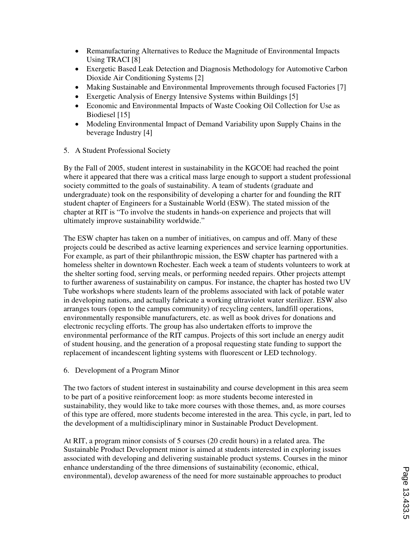- Remanufacturing Alternatives to Reduce the Magnitude of Environmental Impacts Using TRACI [8]
- Exergetic Based Leak Detection and Diagnosis Methodology for Automotive Carbon Dioxide Air Conditioning Systems [2]
- Making Sustainable and Environmental Improvements through focused Factories [7]
- Exergetic Analysis of Energy Intensive Systems within Buildings [5]
- Economic and Environmental Impacts of Waste Cooking Oil Collection for Use as Biodiesel [15]
- Modeling Environmental Impact of Demand Variability upon Supply Chains in the beverage Industry [4]
- 5. A Student Professional Society

By the Fall of 2005, student interest in sustainability in the KGCOE had reached the point where it appeared that there was a critical mass large enough to support a student professional society committed to the goals of sustainability. A team of students (graduate and undergraduate) took on the responsibility of developing a charter for and founding the RIT student chapter of Engineers for a Sustainable World (ESW). The stated mission of the chapter at RIT is "To involve the students in hands-on experience and projects that will ultimately improve sustainability worldwide."

The ESW chapter has taken on a number of initiatives, on campus and off. Many of these projects could be described as active learning experiences and service learning opportunities. For example, as part of their philanthropic mission, the ESW chapter has partnered with a homeless shelter in downtown Rochester. Each week a team of students volunteers to work at the shelter sorting food, serving meals, or performing needed repairs. Other projects attempt to further awareness of sustainability on campus. For instance, the chapter has hosted two UV Tube workshops where students learn of the problems associated with lack of potable water in developing nations, and actually fabricate a working ultraviolet water sterilizer. ESW also arranges tours (open to the campus community) of recycling centers, landfill operations, environmentally responsible manufacturers, etc. as well as book drives for donations and electronic recycling efforts. The group has also undertaken efforts to improve the environmental performance of the RIT campus. Projects of this sort include an energy audit of student housing, and the generation of a proposal requesting state funding to support the replacement of incandescent lighting systems with fluorescent or LED technology.

6. Development of a Program Minor

The two factors of student interest in sustainability and course development in this area seem to be part of a positive reinforcement loop: as more students become interested in sustainability, they would like to take more courses with those themes, and, as more courses of this type are offered, more students become interested in the area. This cycle, in part, led to the development of a multidisciplinary minor in Sustainable Product Development.

At RIT, a program minor consists of 5 courses (20 credit hours) in a related area. The Sustainable Product Development minor is aimed at students interested in exploring issues associated with developing and delivering sustainable product systems. Courses in the minor enhance understanding of the three dimensions of sustainability (economic, ethical, environmental), develop awareness of the need for more sustainable approaches to product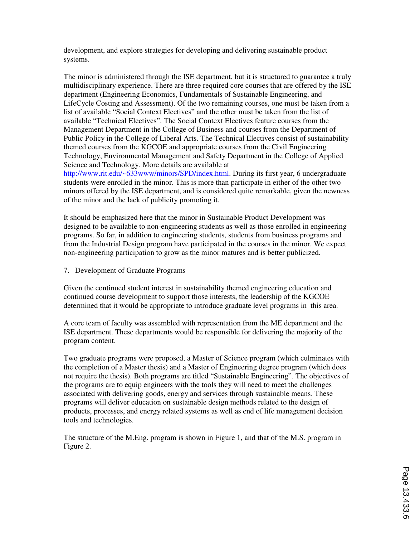development, and explore strategies for developing and delivering sustainable product systems.

The minor is administered through the ISE department, but it is structured to guarantee a truly multidisciplinary experience. There are three required core courses that are offered by the ISE department (Engineering Economics, Fundamentals of Sustainable Engineering, and LifeCycle Costing and Assessment). Of the two remaining courses, one must be taken from a list of available "Social Context Electives" and the other must be taken from the list of available "Technical Electives". The Social Context Electives feature courses from the Management Department in the College of Business and courses from the Department of Public Policy in the College of Liberal Arts. The Technical Electives consist of sustainability themed courses from the KGCOE and appropriate courses from the Civil Engineering Technology, Environmental Management and Safety Department in the College of Applied Science and Technology. More details are available at

http://www.rit.edu/~633www/minors/SPD/index.html. During its first year, 6 undergraduate students were enrolled in the minor. This is more than participate in either of the other two minors offered by the ISE department, and is considered quite remarkable, given the newness of the minor and the lack of publicity promoting it.

It should be emphasized here that the minor in Sustainable Product Development was designed to be available to non-engineering students as well as those enrolled in engineering programs. So far, in addition to engineering students, students from business programs and from the Industrial Design program have participated in the courses in the minor. We expect non-engineering participation to grow as the minor matures and is better publicized.

7. Development of Graduate Programs

Given the continued student interest in sustainability themed engineering education and continued course development to support those interests, the leadership of the KGCOE determined that it would be appropriate to introduce graduate level programs in this area.

A core team of faculty was assembled with representation from the ME department and the ISE department. These departments would be responsible for delivering the majority of the program content.

Two graduate programs were proposed, a Master of Science program (which culminates with the completion of a Master thesis) and a Master of Engineering degree program (which does not require the thesis). Both programs are titled "Sustainable Engineering". The objectives of the programs are to equip engineers with the tools they will need to meet the challenges associated with delivering goods, energy and services through sustainable means. These programs will deliver education on sustainable design methods related to the design of products, processes, and energy related systems as well as end of life management decision tools and technologies.

The structure of the M.Eng. program is shown in Figure 1, and that of the M.S. program in Figure 2.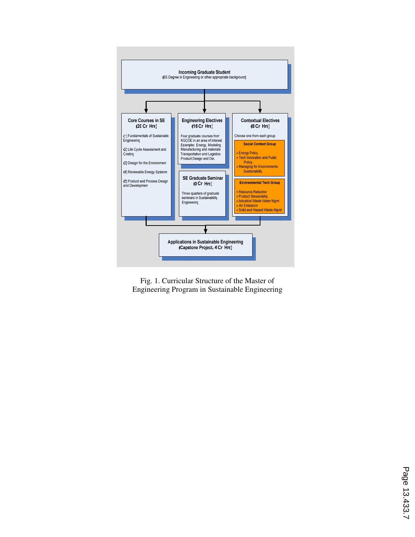

Fig. 1. Curricular Structure of the Master of Engineering Program in Sustainable Engineering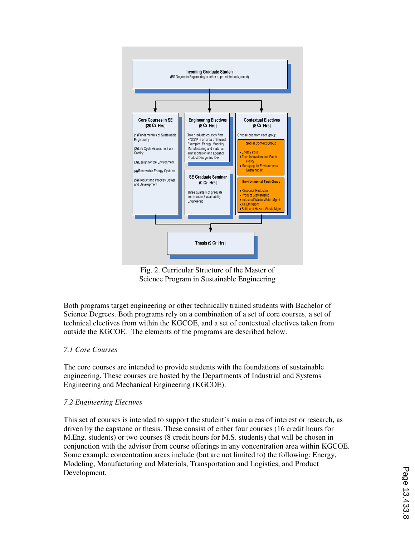

Fig. 2. Curricular Structure of the Master of Science Program in Sustainable Engineering

Both programs target engineering or other technically trained students with Bachelor of Science Degrees. Both programs rely on a combination of a set of core courses, a set of technical electives from within the KGCOE, and a set of contextual electives taken from outside the KGCOE. The elements of the programs are described below.

## *7.1 Core Courses*

The core courses are intended to provide students with the foundations of sustainable engineering. These courses are hosted by the Departments of Industrial and Systems Engineering and Mechanical Engineering (KGCOE).

#### *7.2 Engineering Electives*

This set of courses is intended to support the student's main areas of interest or research, as driven by the capstone or thesis. These consist of either four courses (16 credit hours for M.Eng. students) or two courses (8 credit hours for M.S. students) that will be chosen in conjunction with the advisor from course offerings in any concentration area within KGCOE. Some example concentration areas include (but are not limited to) the following: Energy, Modeling, Manufacturing and Materials, Transportation and Logistics, and Product Development.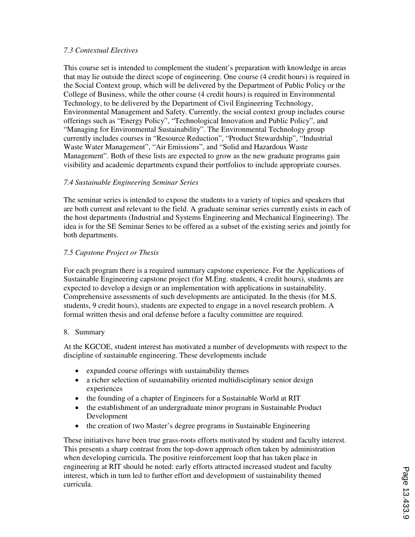## *7.3 Contextual Electives*

This course set is intended to complement the student's preparation with knowledge in areas that may lie outside the direct scope of engineering. One course (4 credit hours) is required in the Social Context group, which will be delivered by the Department of Public Policy or the College of Business, while the other course (4 credit hours) is required in Environmental Technology, to be delivered by the Department of Civil Engineering Technology, Environmental Management and Safety. Currently, the social context group includes course offerings such as "Energy Policy", "Technological Innovation and Public Policy", and "Managing for Environmental Sustainability". The Environmental Technology group currently includes courses in "Resource Reduction", "Product Stewardship", "Industrial Waste Water Management", "Air Emissions", and "Solid and Hazardous Waste Management". Both of these lists are expected to grow as the new graduate programs gain visibility and academic departments expand their portfolios to include appropriate courses.

### *7.4 Sustainable Engineering Seminar Series*

The seminar series is intended to expose the students to a variety of topics and speakers that are both current and relevant to the field. A graduate seminar series currently exists in each of the host departments (Industrial and Systems Engineering and Mechanical Engineering). The idea is for the SE Seminar Series to be offered as a subset of the existing series and jointly for both departments.

### *7.5 Capstone Project or Thesis*

For each program there is a required summary capstone experience. For the Applications of Sustainable Engineering capstone project (for M.Eng. students, 4 credit hours), students are expected to develop a design or an implementation with applications in sustainability. Comprehensive assessments of such developments are anticipated. In the thesis (for M.S. students, 9 credit hours), students are expected to engage in a novel research problem. A formal written thesis and oral defense before a faculty committee are required.

#### 8. Summary

At the KGCOE, student interest has motivated a number of developments with respect to the discipline of sustainable engineering. These developments include

- expanded course offerings with sustainability themes
- a richer selection of sustainability oriented multidisciplinary senior design experiences
- the founding of a chapter of Engineers for a Sustainable World at RIT
- the establishment of an undergraduate minor program in Sustainable Product Development
- the creation of two Master's degree programs in Sustainable Engineering

These initiatives have been true grass-roots efforts motivated by student and faculty interest. This presents a sharp contrast from the top-down approach often taken by administration when developing curricula. The positive reinforcement loop that has taken place in engineering at RIT should be noted: early efforts attracted increased student and faculty interest, which in turn led to further effort and development of sustainability themed curricula.